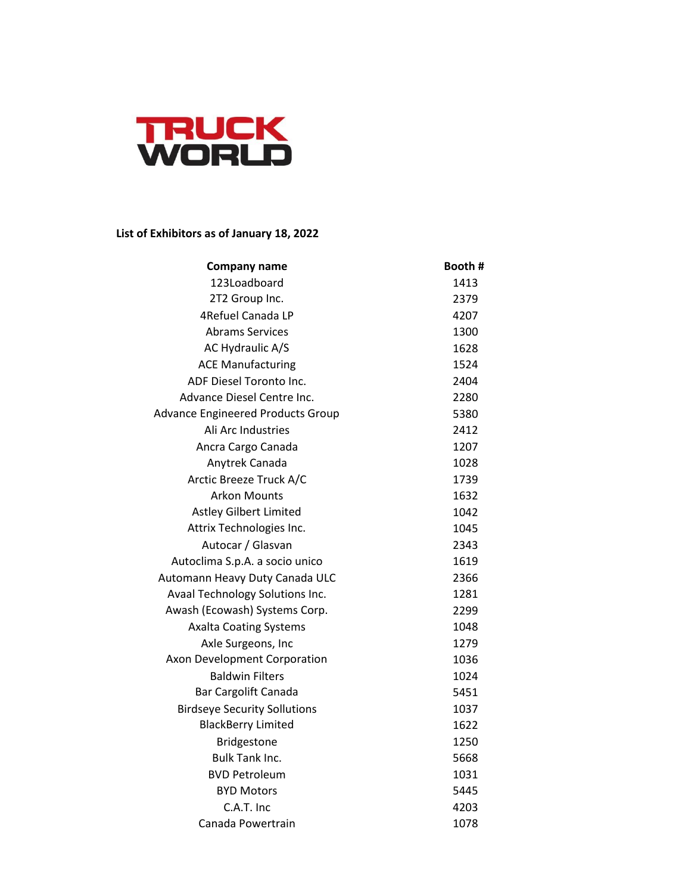

## **List of Exhibitors as of January 18, 2022**

| <b>Company name</b>                      | Booth # |
|------------------------------------------|---------|
| 123Loadboard                             | 1413    |
| 2T2 Group Inc.                           | 2379    |
| 4Refuel Canada LP                        | 4207    |
| <b>Abrams Services</b>                   | 1300    |
| AC Hydraulic A/S                         | 1628    |
| <b>ACE Manufacturing</b>                 | 1524    |
| ADF Diesel Toronto Inc.                  | 2404    |
| Advance Diesel Centre Inc.               | 2280    |
| <b>Advance Engineered Products Group</b> | 5380    |
| Ali Arc Industries                       | 2412    |
| Ancra Cargo Canada                       | 1207    |
| Anytrek Canada                           | 1028    |
| Arctic Breeze Truck A/C                  | 1739    |
| <b>Arkon Mounts</b>                      | 1632    |
| <b>Astley Gilbert Limited</b>            | 1042    |
| Attrix Technologies Inc.                 | 1045    |
| Autocar / Glasvan                        | 2343    |
| Autoclima S.p.A. a socio unico           | 1619    |
| Automann Heavy Duty Canada ULC           | 2366    |
| Avaal Technology Solutions Inc.          | 1281    |
| Awash (Ecowash) Systems Corp.            | 2299    |
| <b>Axalta Coating Systems</b>            | 1048    |
| Axle Surgeons, Inc                       | 1279    |
| Axon Development Corporation             | 1036    |
| <b>Baldwin Filters</b>                   | 1024    |
| <b>Bar Cargolift Canada</b>              | 5451    |
| <b>Birdseye Security Sollutions</b>      | 1037    |
| <b>BlackBerry Limited</b>                | 1622    |
| Bridgestone                              | 1250    |
| <b>Bulk Tank Inc.</b>                    | 5668    |
| <b>BVD Petroleum</b>                     | 1031    |
| <b>BYD Motors</b>                        | 5445    |
| C.A.T. Inc                               | 4203    |
| Canada Powertrain                        | 1078    |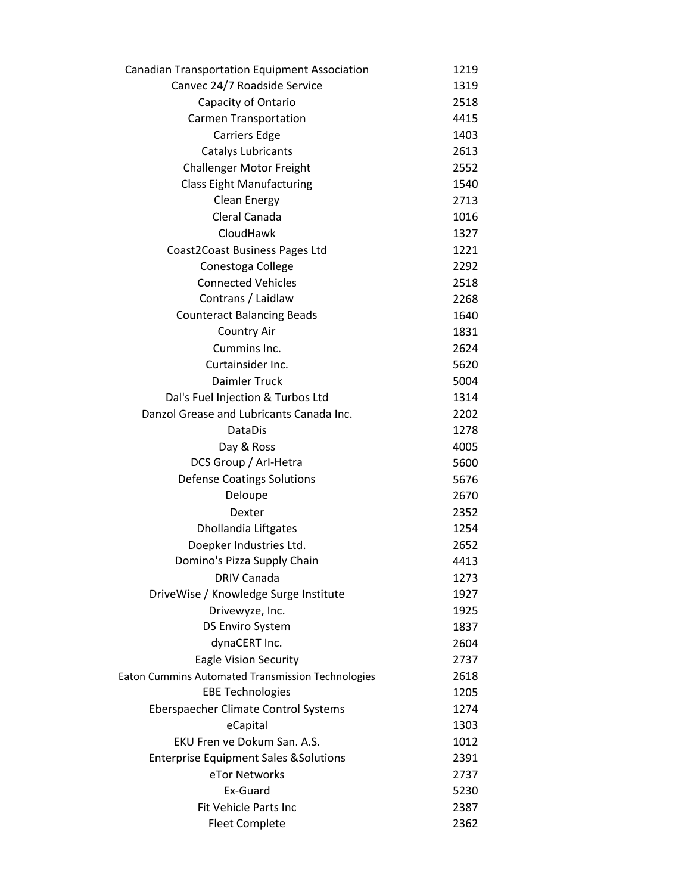| <b>Canadian Transportation Equipment Association</b> | 1219 |
|------------------------------------------------------|------|
| Canvec 24/7 Roadside Service                         | 1319 |
| Capacity of Ontario                                  | 2518 |
| <b>Carmen Transportation</b>                         | 4415 |
| <b>Carriers Edge</b>                                 | 1403 |
| Catalys Lubricants                                   | 2613 |
| <b>Challenger Motor Freight</b>                      | 2552 |
| <b>Class Eight Manufacturing</b>                     | 1540 |
| Clean Energy                                         | 2713 |
| Cleral Canada                                        | 1016 |
| CloudHawk                                            | 1327 |
| Coast2Coast Business Pages Ltd                       | 1221 |
| Conestoga College                                    | 2292 |
| <b>Connected Vehicles</b>                            | 2518 |
| Contrans / Laidlaw                                   | 2268 |
| <b>Counteract Balancing Beads</b>                    | 1640 |
| <b>Country Air</b>                                   | 1831 |
| Cummins Inc.                                         | 2624 |
| Curtainsider Inc.                                    | 5620 |
| <b>Daimler Truck</b>                                 | 5004 |
| Dal's Fuel Injection & Turbos Ltd                    | 1314 |
| Danzol Grease and Lubricants Canada Inc.             | 2202 |
| DataDis                                              | 1278 |
| Day & Ross                                           | 4005 |
| DCS Group / Arl-Hetra                                | 5600 |
| <b>Defense Coatings Solutions</b>                    | 5676 |
| Deloupe                                              | 2670 |
| Dexter                                               | 2352 |
| Dhollandia Liftgates                                 | 1254 |
| Doepker Industries Ltd.                              | 2652 |
| Domino's Pizza Supply Chain                          | 4413 |
| <b>DRIV Canada</b>                                   | 1273 |
| DriveWise / Knowledge Surge Institute                | 1927 |
| Drivewyze, Inc.                                      | 1925 |
| <b>DS Enviro System</b>                              | 1837 |
| dynaCERT Inc.                                        | 2604 |
| <b>Eagle Vision Security</b>                         | 2737 |
| Eaton Cummins Automated Transmission Technologies    | 2618 |
| <b>EBE Technologies</b>                              | 1205 |
| Eberspaecher Climate Control Systems                 | 1274 |
| eCapital                                             | 1303 |
| EKU Fren ve Dokum San. A.S.                          | 1012 |
| <b>Enterprise Equipment Sales &amp; Solutions</b>    | 2391 |
| eTor Networks                                        | 2737 |
| Ex-Guard                                             | 5230 |
| Fit Vehicle Parts Inc                                | 2387 |
| <b>Fleet Complete</b>                                | 2362 |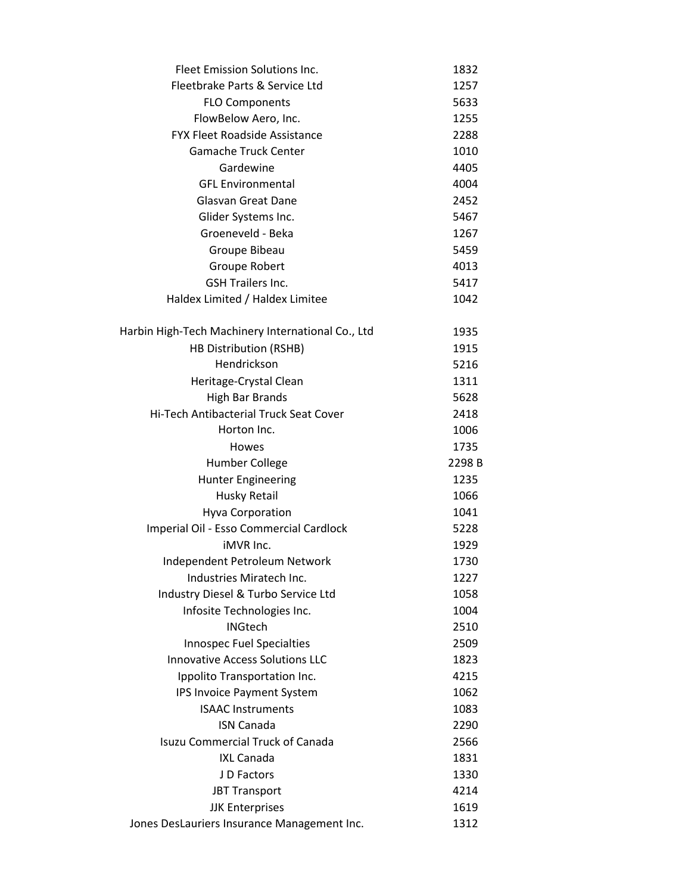| <b>Fleet Emission Solutions Inc.</b>                                  | 1832         |
|-----------------------------------------------------------------------|--------------|
| Fleetbrake Parts & Service Ltd                                        | 1257         |
| <b>FLO Components</b>                                                 | 5633         |
| FlowBelow Aero, Inc.                                                  | 1255         |
| <b>FYX Fleet Roadside Assistance</b>                                  | 2288         |
| <b>Gamache Truck Center</b>                                           | 1010         |
| Gardewine                                                             | 4405         |
| <b>GFL Environmental</b>                                              | 4004         |
| Glasvan Great Dane                                                    | 2452         |
| Glider Systems Inc.                                                   | 5467         |
| Groeneveld - Beka                                                     | 1267         |
| Groupe Bibeau                                                         | 5459         |
| Groupe Robert                                                         | 4013         |
| <b>GSH Trailers Inc.</b>                                              | 5417         |
| Haldex Limited / Haldex Limitee                                       | 1042         |
| Harbin High-Tech Machinery International Co., Ltd                     | 1935         |
| HB Distribution (RSHB)                                                | 1915         |
| Hendrickson                                                           | 5216         |
| Heritage-Crystal Clean                                                | 1311         |
| <b>High Bar Brands</b>                                                | 5628         |
| Hi-Tech Antibacterial Truck Seat Cover                                | 2418         |
| Horton Inc.                                                           | 1006         |
| <b>Howes</b>                                                          | 1735         |
|                                                                       |              |
| Humber College                                                        | 2298B        |
| <b>Hunter Engineering</b>                                             | 1235         |
| Husky Retail                                                          | 1066         |
| <b>Hyva Corporation</b>                                               | 1041         |
| Imperial Oil - Esso Commercial Cardlock                               | 5228         |
| <b>iMVR</b> Inc.                                                      | 1929         |
| Independent Petroleum Network                                         | 1730         |
| Industries Miratech Inc.                                              | 1227         |
| Industry Diesel & Turbo Service Ltd                                   | 1058         |
| Infosite Technologies Inc.                                            | 1004         |
| <b>INGtech</b>                                                        | 2510         |
| Innospec Fuel Specialties                                             | 2509         |
| <b>Innovative Access Solutions LLC</b>                                | 1823         |
| Ippolito Transportation Inc.                                          | 4215         |
| IPS Invoice Payment System                                            | 1062         |
| <b>ISAAC Instruments</b>                                              | 1083         |
| <b>ISN Canada</b>                                                     | 2290         |
| <b>Isuzu Commercial Truck of Canada</b>                               | 2566         |
| <b>IXL Canada</b>                                                     | 1831         |
| J D Factors                                                           | 1330         |
| <b>JBT Transport</b>                                                  | 4214         |
| <b>JJK Enterprises</b><br>Jones DesLauriers Insurance Management Inc. | 1619<br>1312 |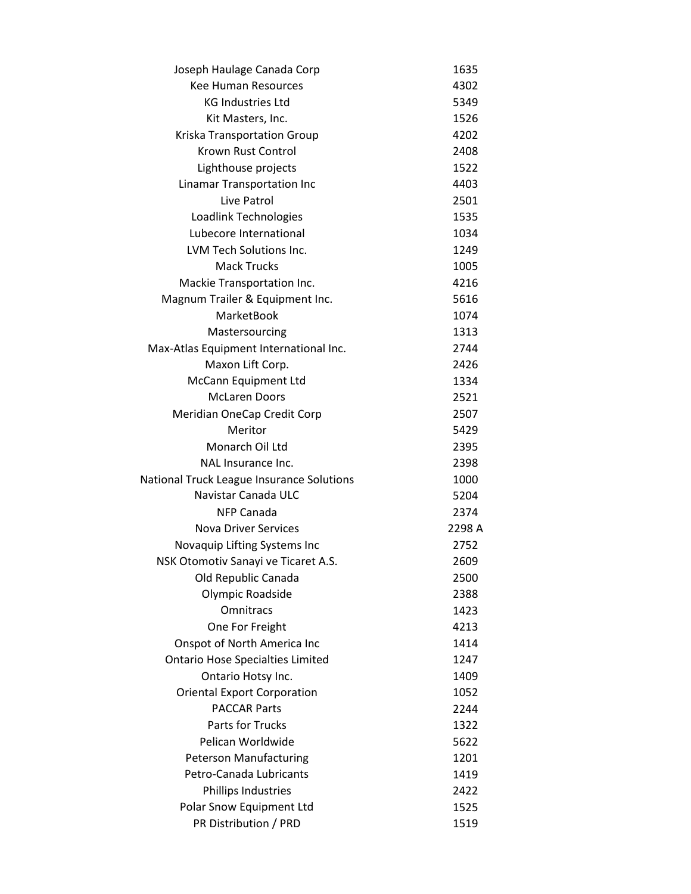| Joseph Haulage Canada Corp                | 1635   |
|-------------------------------------------|--------|
| <b>Kee Human Resources</b>                | 4302   |
| <b>KG Industries Ltd</b>                  | 5349   |
| Kit Masters, Inc.                         | 1526   |
| Kriska Transportation Group               | 4202   |
| Krown Rust Control                        | 2408   |
| Lighthouse projects                       | 1522   |
| Linamar Transportation Inc                | 4403   |
| Live Patrol                               | 2501   |
| Loadlink Technologies                     | 1535   |
| Lubecore International                    | 1034   |
| LVM Tech Solutions Inc.                   | 1249   |
| <b>Mack Trucks</b>                        | 1005   |
| Mackie Transportation Inc.                | 4216   |
| Magnum Trailer & Equipment Inc.           | 5616   |
| <b>MarketBook</b>                         | 1074   |
| Mastersourcing                            | 1313   |
| Max-Atlas Equipment International Inc.    | 2744   |
| Maxon Lift Corp.                          | 2426   |
| McCann Equipment Ltd                      | 1334   |
| <b>McLaren Doors</b>                      | 2521   |
| Meridian OneCap Credit Corp               | 2507   |
| Meritor                                   | 5429   |
| Monarch Oil Ltd                           | 2395   |
| NAL Insurance Inc.                        | 2398   |
| National Truck League Insurance Solutions | 1000   |
| Navistar Canada ULC                       | 5204   |
| <b>NFP Canada</b>                         | 2374   |
| <b>Nova Driver Services</b>               | 2298 A |
| Novaquip Lifting Systems Inc              | 2752   |
| NSK Otomotiv Sanayi ve Ticaret A.S.       | 2609   |
| Old Republic Canada                       | 2500   |
| Olympic Roadside                          | 2388   |
| Omnitracs                                 | 1423   |
| One For Freight                           | 4213   |
| Onspot of North America Inc               | 1414   |
| <b>Ontario Hose Specialties Limited</b>   | 1247   |
| Ontario Hotsy Inc.                        | 1409   |
| <b>Oriental Export Corporation</b>        | 1052   |
| <b>PACCAR Parts</b>                       | 2244   |
| Parts for Trucks                          | 1322   |
| Pelican Worldwide                         | 5622   |
| <b>Peterson Manufacturing</b>             | 1201   |
| Petro-Canada Lubricants                   | 1419   |
| Phillips Industries                       | 2422   |
| Polar Snow Equipment Ltd                  | 1525   |
| PR Distribution / PRD                     | 1519   |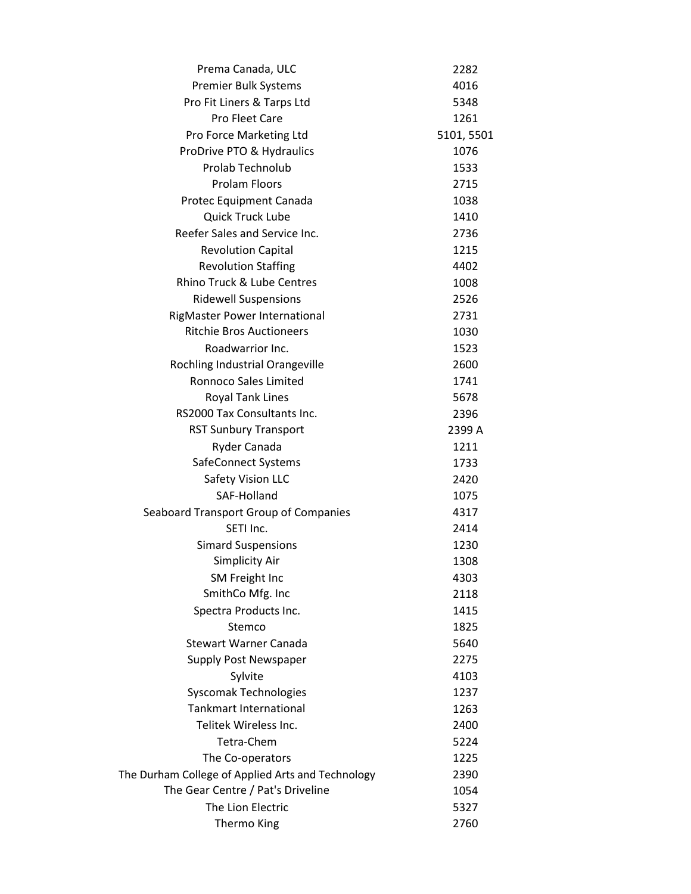| Prema Canada, ULC                                 | 2282       |
|---------------------------------------------------|------------|
| Premier Bulk Systems                              | 4016       |
| Pro Fit Liners & Tarps Ltd                        | 5348       |
| <b>Pro Fleet Care</b>                             | 1261       |
| Pro Force Marketing Ltd                           | 5101, 5501 |
| ProDrive PTO & Hydraulics                         | 1076       |
| Prolab Technolub                                  | 1533       |
| <b>Prolam Floors</b>                              | 2715       |
| Protec Equipment Canada                           | 1038       |
| <b>Quick Truck Lube</b>                           | 1410       |
| Reefer Sales and Service Inc.                     | 2736       |
| <b>Revolution Capital</b>                         | 1215       |
| <b>Revolution Staffing</b>                        | 4402       |
| Rhino Truck & Lube Centres                        | 1008       |
| <b>Ridewell Suspensions</b>                       | 2526       |
| RigMaster Power International                     | 2731       |
| <b>Ritchie Bros Auctioneers</b>                   | 1030       |
| Roadwarrior Inc.                                  | 1523       |
| Rochling Industrial Orangeville                   | 2600       |
| <b>Ronnoco Sales Limited</b>                      | 1741       |
| <b>Royal Tank Lines</b>                           | 5678       |
| RS2000 Tax Consultants Inc.                       | 2396       |
| <b>RST Sunbury Transport</b>                      | 2399 A     |
| Ryder Canada                                      | 1211       |
| SafeConnect Systems                               | 1733       |
| Safety Vision LLC                                 | 2420       |
| SAF-Holland                                       | 1075       |
| Seaboard Transport Group of Companies             | 4317       |
| SETI Inc.                                         | 2414       |
| <b>Simard Suspensions</b>                         | 1230       |
| Simplicity Air                                    | 1308       |
| <b>SM Freight Inc</b>                             | 4303       |
| SmithCo Mfg. Inc                                  | 2118       |
| Spectra Products Inc.                             | 1415       |
| Stemco                                            | 1825       |
| <b>Stewart Warner Canada</b>                      | 5640       |
| Supply Post Newspaper                             | 2275       |
| Sylvite                                           | 4103       |
| <b>Syscomak Technologies</b>                      | 1237       |
| <b>Tankmart International</b>                     | 1263       |
| Telitek Wireless Inc.                             | 2400       |
| Tetra-Chem                                        | 5224       |
| The Co-operators                                  | 1225       |
| The Durham College of Applied Arts and Technology | 2390       |
| The Gear Centre / Pat's Driveline                 | 1054       |
| The Lion Electric                                 | 5327       |
| Thermo King                                       | 2760       |